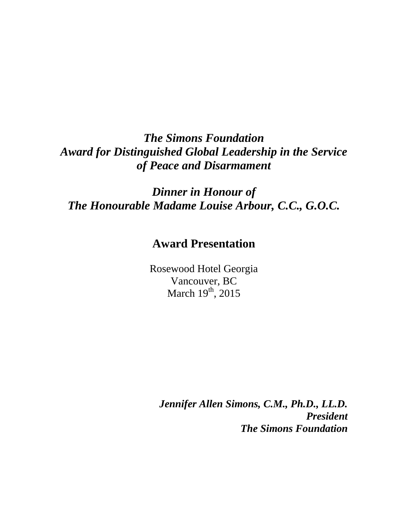## *The Simons Foundation Award for Distinguished Global Leadership in the Service of Peace and Disarmament*

*Dinner in Honour of The Honourable Madame Louise Arbour, C.C., G.O.C.*

## **Award Presentation**

Rosewood Hotel Georgia Vancouver, BC March  $19^{th}$ , 2015

*Jennifer Allen Simons, C.M., Ph.D., LL.D. President The Simons Foundation*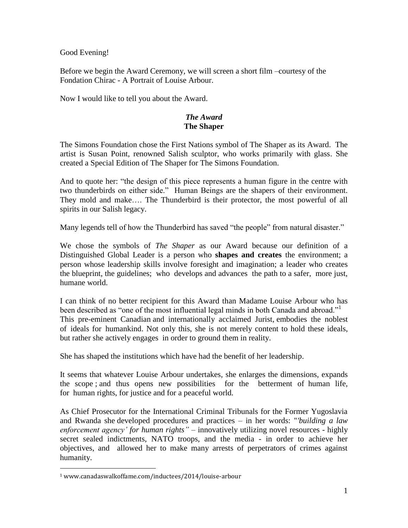Good Evening!

Before we begin the Award Ceremony, we will screen a short film –courtesy of the Fondation Chirac - A Portrait of Louise Arbour.

Now I would like to tell you about the Award.

## *The Award* **The Shaper**

The Simons Foundation chose the First Nations symbol of The Shaper as its Award. The artist is Susan Point, renowned Salish sculptor, who works primarily with glass. She created a Special Edition of The Shaper for The Simons Foundation.

And to quote her: "the design of this piece represents a human figure in the centre with two thunderbirds on either side." Human Beings are the shapers of their environment. They mold and make…. The Thunderbird is their protector, the most powerful of all spirits in our Salish legacy.

Many legends tell of how the Thunderbird has saved "the people" from natural disaster."

We chose the symbols of *The Shaper* as our Award because our definition of a Distinguished Global Leader is a person who **shapes and creates** the environment; a person whose leadership skills involve foresight and imagination; a leader who creates the blueprint, the guidelines; who develops and advances the path to a safer, more just, humane world.

I can think of no better recipient for this Award than Madame Louise Arbour who has been described as "one of the most influential legal minds in both Canada and abroad." This pre-eminent Canadian and internationally acclaimed Jurist, embodies the noblest of ideals for humankind. Not only this, she is not merely content to hold these ideals, but rather she actively engages in order to ground them in reality.

She has shaped the institutions which have had the benefit of her leadership.

It seems that whatever Louise Arbour undertakes, she enlarges the dimensions, expands the scope ; and thus opens new possibilities for the betterment of human life, for human rights, for justice and for a peaceful world.

As Chief Prosecutor for the International Criminal Tribunals for the Former Yugoslavia and Rwanda she developed procedures and practices – in her words: "*'building a law enforcement agency' for human rights"* – innovatively utilizing novel resources - highly secret sealed indictments, NATO troops, and the media - in order to achieve her objectives, and allowed her to make many arrests of perpetrators of crimes against humanity.

 $\overline{a}$ 

<sup>1</sup> www.canadaswalkoffame.com/inductees/2014/louise-arbour